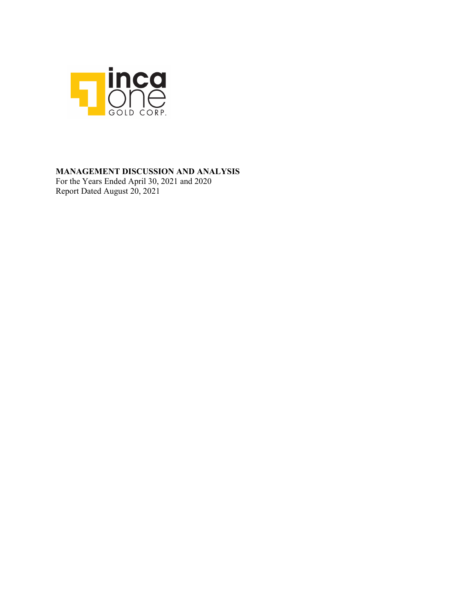

## **MANAGEMENT DISCUSSION AND ANALYSIS**

For the Years Ended April 30, 2021 and 2020 Report Dated August 20, 2021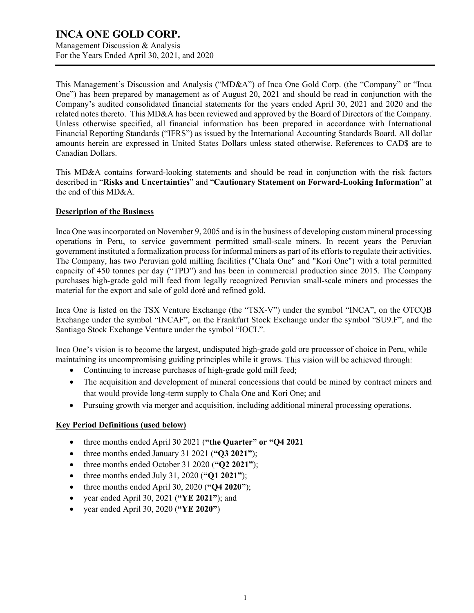Management Discussion & Analysis For the Years Ended April 30, 2021, and 2020

This Management's Discussion and Analysis ("MD&A") of Inca One Gold Corp. (the "Company" or "Inca One") has been prepared by management as of August 20, 2021 and should be read in conjunction with the Company's audited consolidated financial statements for the years ended April 30, 2021 and 2020 and the related notes thereto. This MD&A has been reviewed and approved by the Board of Directors of the Company. Unless otherwise specified, all financial information has been prepared in accordance with International Financial Reporting Standards ("IFRS") as issued by the International Accounting Standards Board. All dollar amounts herein are expressed in United States Dollars unless stated otherwise. References to CAD\$ are to Canadian Dollars.

This MD&A contains forward-looking statements and should be read in conjunction with the risk factors described in "**Risks and Uncertainties**" and "**Cautionary Statement on Forward-Looking Information**" at the end of this MD&A.

#### **Description of the Business**

Inca One was incorporated on November 9, 2005 and is in the business of developing custom mineral processing operations in Peru, to service government permitted small-scale miners. In recent years the Peruvian government instituted a formalization process for informal miners as part of its efforts to regulate their activities. The Company, has two Peruvian gold milling facilities ("Chala One" and "Kori One") with a total permitted capacity of 450 tonnes per day ("TPD") and has been in commercial production since 2015. The Company purchases high-grade gold mill feed from legally recognized Peruvian small-scale miners and processes the material for the export and sale of gold doré and refined gold.

Inca One is listed on the TSX Venture Exchange (the "TSX-V") under the symbol "INCA", on the OTCQB Exchange under the symbol "INCAF", on the Frankfurt Stock Exchange under the symbol "SU9.F", and the Santiago Stock Exchange Venture under the symbol "IOCL".

Inca One's vision is to become the largest, undisputed high-grade gold ore processor of choice in Peru, while maintaining its uncompromising guiding principles while it grows. This vision will be achieved through:

- Continuing to increase purchases of high-grade gold mill feed;
- The acquisition and development of mineral concessions that could be mined by contract miners and that would provide long-term supply to Chala One and Kori One; and
- Pursuing growth via merger and acquisition, including additional mineral processing operations.

## **Key Period Definitions (used below)**

- three months ended April 30 2021 (**"the Quarter" or "Q4 2021**
- three months ended January 31 2021 (**"Q3 2021"**);
- three months ended October 31 2020 (**"Q2 2021"**);
- three months ended July 31, 2020 (**"Q1 2021"**);
- three months ended April 30, 2020 (**"Q4 2020"**);
- year ended April 30, 2021 (**"YE 2021"**); and
- year ended April 30, 2020 (**"YE 2020"**)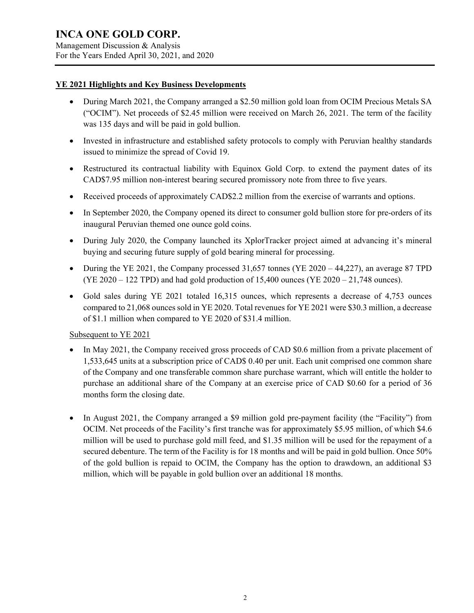#### **YE 2021 Highlights and Key Business Developments**

- During March 2021, the Company arranged a \$2.50 million gold loan from OCIM Precious Metals SA ("OCIM"). Net proceeds of \$2.45 million were received on March 26, 2021. The term of the facility was 135 days and will be paid in gold bullion.
- Invested in infrastructure and established safety protocols to comply with Peruvian healthy standards issued to minimize the spread of Covid 19.
- Restructured its contractual liability with Equinox Gold Corp. to extend the payment dates of its CAD\$7.95 million non-interest bearing secured promissory note from three to five years.
- Received proceeds of approximately CAD\$2.2 million from the exercise of warrants and options.
- In September 2020, the Company opened its direct to consumer gold bullion store for pre-orders of its inaugural Peruvian themed one ounce gold coins.
- During July 2020, the Company launched its XplorTracker project aimed at advancing it's mineral buying and securing future supply of gold bearing mineral for processing.
- During the YE 2021, the Company processed 31,657 tonnes (YE 2020 44,227), an average 87 TPD  $(YE 2020 - 122 TPD)$  and had gold production of 15,400 ounces  $(YE 2020 - 21,748$  ounces).
- Gold sales during YE 2021 totaled 16,315 ounces, which represents a decrease of 4,753 ounces compared to 21,068 ounces sold in YE 2020. Total revenues for YE 2021 were \$30.3 million, a decrease of \$1.1 million when compared to YE 2020 of \$31.4 million.

Subsequent to YE 2021

- In May 2021, the Company received gross proceeds of CAD \$0.6 million from a private placement of 1,533,645 units at a subscription price of CAD\$ 0.40 per unit. Each unit comprised one common share of the Company and one transferable common share purchase warrant, which will entitle the holder to purchase an additional share of the Company at an exercise price of CAD \$0.60 for a period of 36 months form the closing date.
- In August 2021, the Company arranged a \$9 million gold pre-payment facility (the "Facility") from OCIM. Net proceeds of the Facility's first tranche was for approximately \$5.95 million, of which \$4.6 million will be used to purchase gold mill feed, and \$1.35 million will be used for the repayment of a secured debenture. The term of the Facility is for 18 months and will be paid in gold bullion. Once 50% of the gold bullion is repaid to OCIM, the Company has the option to drawdown, an additional \$3 million, which will be payable in gold bullion over an additional 18 months.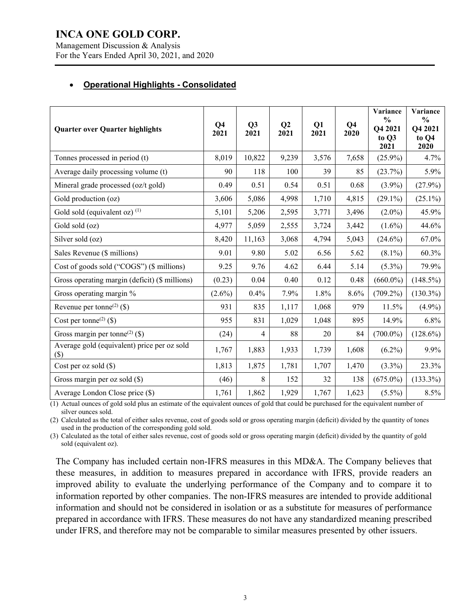Management Discussion & Analysis For the Years Ended April 30, 2021, and 2020

## • **Operational Highlights - Consolidated**

| <b>Quarter over Quarter highlights</b>               | Q <sub>4</sub><br>2021 | Q <sub>3</sub><br>2021 | Q <sub>2</sub><br>2021 | Q1<br>2021 | Q <sub>4</sub><br>2020 | Variance<br>$\frac{0}{0}$<br>Q4 2021<br>to Q3<br>2021 | Variance<br>$\frac{0}{0}$<br>Q4 2021<br>to Q4<br>2020 |
|------------------------------------------------------|------------------------|------------------------|------------------------|------------|------------------------|-------------------------------------------------------|-------------------------------------------------------|
| Tonnes processed in period (t)                       | 8,019                  | 10,822                 | 9,239                  | 3,576      | 7,658                  | $(25.9\%)$                                            | 4.7%                                                  |
| Average daily processing volume (t)                  | 90                     | 118                    | 100                    | 39         | 85                     | (23.7%)                                               | 5.9%                                                  |
| Mineral grade processed (oz/t gold)                  | 0.49                   | 0.51                   | 0.54                   | 0.51       | 0.68                   | $(3.9\%)$                                             | $(27.9\%)$                                            |
| Gold production (oz)                                 | 3,606                  | 5,086                  | 4,998                  | 1,710      | 4,815                  | $(29.1\%)$                                            | $(25.1\%)$                                            |
| Gold sold (equivalent oz) <sup>(1)</sup>             | 5,101                  | 5,206                  | 2,595                  | 3,771      | 3,496                  | $(2.0\%)$                                             | 45.9%                                                 |
| Gold sold (oz)                                       | 4,977                  | 5,059                  | 2,555                  | 3,724      | 3,442                  | $(1.6\%)$                                             | 44.6%                                                 |
| Silver sold (oz)                                     | 8,420                  | 11,163                 | 3,068                  | 4,794      | 5,043                  | $(24.6\%)$                                            | 67.0%                                                 |
| Sales Revenue (\$ millions)                          | 9.01                   | 9.80                   | 5.02                   | 6.56       | 5.62                   | $(8.1\%)$                                             | 60.3%                                                 |
| Cost of goods sold ("COGS") (\$ millions)            | 9.25                   | 9.76                   | 4.62                   | 6.44       | 5.14                   | $(5.3\%)$                                             | 79.9%                                                 |
| Gross operating margin (deficit) (\$ millions)       | (0.23)                 | 0.04                   | 0.40                   | 0.12       | 0.48                   | $(660.0\%)$                                           | $(148.5\%)$                                           |
| Gross operating margin %                             | $(2.6\%)$              | 0.4%                   | 7.9%                   | 1.8%       | 8.6%                   | $(709.2\%)$                                           | $(130.3\%)$                                           |
| Revenue per tonne <sup>(2)</sup> (\$)                | 931                    | 835                    | 1,117                  | 1,068      | 979                    | 11.5%                                                 | $(4.9\%)$                                             |
| Cost per tonne <sup>(2)</sup> (\$)                   | 955                    | 831                    | 1,029                  | 1,048      | 895                    | 14.9%                                                 | 6.8%                                                  |
| Gross margin per tonne <sup>(2)</sup> (\$)           | (24)                   | 4                      | 88                     | 20         | 84                     | $(700.0\%)$                                           | $(128.6\%)$                                           |
| Average gold (equivalent) price per oz sold<br>$($)$ | 1,767                  | 1,883                  | 1,933                  | 1,739      | 1,608                  | $(6.2\%)$                                             | 9.9%                                                  |
| Cost per oz sold (\$)                                | 1,813                  | 1,875                  | 1,781                  | 1,707      | 1,470                  | $(3.3\%)$                                             | 23.3%                                                 |
| Gross margin per oz sold (\$)                        | (46)                   | 8                      | 152                    | 32         | 138                    | $(675.0\%)$                                           | $(133.3\%)$                                           |
| Average London Close price (\$)                      | 1,761                  | 1,862                  | 1,929                  | 1,767      | 1,623                  | $(5.5\%)$                                             | 8.5%                                                  |

(1) Actual ounces of gold sold plus an estimate of the equivalent ounces of gold that could be purchased for the equivalent number of silver ounces sold.

(2) Calculated as the total of either sales revenue, cost of goods sold or gross operating margin (deficit) divided by the quantity of tones used in the production of the corresponding gold sold.

(3) Calculated as the total of either sales revenue, cost of goods sold or gross operating margin (deficit) divided by the quantity of gold sold (equivalent oz).

The Company has included certain non-IFRS measures in this MD&A. The Company believes that these measures, in addition to measures prepared in accordance with IFRS, provide readers an improved ability to evaluate the underlying performance of the Company and to compare it to information reported by other companies. The non-IFRS measures are intended to provide additional information and should not be considered in isolation or as a substitute for measures of performance prepared in accordance with IFRS. These measures do not have any standardized meaning prescribed under IFRS, and therefore may not be comparable to similar measures presented by other issuers.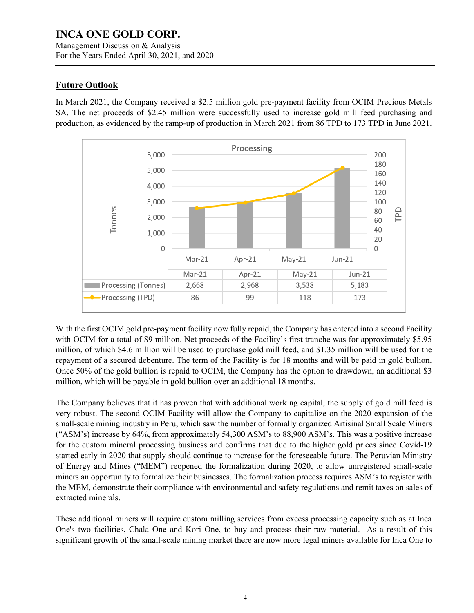Management Discussion & Analysis For the Years Ended April 30, 2021, and 2020

## **Future Outlook**

In March 2021, the Company received a \$2.5 million gold pre-payment facility from OCIM Precious Metals SA. The net proceeds of \$2.45 million were successfully used to increase gold mill feed purchasing and production, as evidenced by the ramp-up of production in March 2021 from 86 TPD to 173 TPD in June 2021.



With the first OCIM gold pre-payment facility now fully repaid, the Company has entered into a second Facility with OCIM for a total of \$9 million. Net proceeds of the Facility's first tranche was for approximately \$5.95 million, of which \$4.6 million will be used to purchase gold mill feed, and \$1.35 million will be used for the repayment of a secured debenture. The term of the Facility is for 18 months and will be paid in gold bullion. Once 50% of the gold bullion is repaid to OCIM, the Company has the option to drawdown, an additional \$3 million, which will be payable in gold bullion over an additional 18 months.

The Company believes that it has proven that with additional working capital, the supply of gold mill feed is very robust. The second OCIM Facility will allow the Company to capitalize on the 2020 expansion of the small-scale mining industry in Peru, which saw the number of formally organized Artisinal Small Scale Miners ("ASM's) increase by 64%, from approximately 54,300 ASM's to 88,900 ASM's. This was a positive increase for the custom mineral processing business and confirms that due to the higher gold prices since Covid-19 started early in 2020 that supply should continue to increase for the foreseeable future. The Peruvian Ministry of Energy and Mines ("MEM") reopened the formalization during 2020, to allow unregistered small-scale miners an opportunity to formalize their businesses. The formalization process requires ASM's to register with the MEM, demonstrate their compliance with environmental and safety regulations and remit taxes on sales of extracted minerals.

These additional miners will require custom milling services from excess processing capacity such as at Inca One's two facilities, Chala One and Kori One, to buy and process their raw material. As a result of this significant growth of the small-scale mining market there are now more legal miners available for Inca One to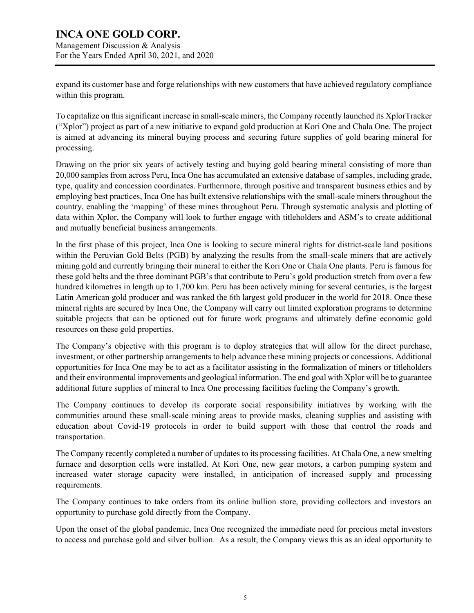Management Discussion & Analysis For the Years Ended April 30, 2021, and 2020

expand its customer base and forge relationships with new customers that have achieved regulatory compliance within this program.

To capitalize on this significant increase in small-scale miners, the Company recently launched its XplorTracker ("Xplor") project as part of a new initiative to expand gold production at Kori One and Chala One. The project is aimed at advancing its mineral buying process and securing future supplies of gold bearing mineral for processing.

Drawing on the prior six years of actively testing and buying gold bearing mineral consisting of more than 20,000 samples from across Peru, Inca One has accumulated an extensive database of samples, including grade, type, quality and concession coordinates. Furthermore, through positive and transparent business ethics and by employing best practices, Inca One has built extensive relationships with the small-scale miners throughout the country, enabling the 'mapping' of these mines throughout Peru. Through systematic analysis and plotting of data within Xplor, the Company will look to further engage with titleholders and ASM's to create additional and mutually beneficial business arrangements.

In the first phase of this project, Inca One is looking to secure mineral rights for district-scale land positions within the Peruvian Gold Belts (PGB) by analyzing the results from the small-scale miners that are actively mining gold and currently bringing their mineral to either the Kori One or Chala One plants. Peru is famous for these gold belts and the three dominant PGB's that contribute to Peru's gold production stretch from over a few hundred kilometres in length up to 1,700 km. Peru has been actively mining for several centuries, is the largest Latin American gold producer and was ranked the 6th largest gold producer in the world for 2018. Once these mineral rights are secured by Inca One, the Company will carry out limited exploration programs to determine suitable projects that can be optioned out for future work programs and ultimately define economic gold resources on these gold properties.

The Company's objective with this program is to deploy strategies that will allow for the direct purchase, investment, or other partnership arrangements to help advance these mining projects or concessions. Additional opportunities for Inca One may be to act as a facilitator assisting in the formalization of miners or titleholders and their environmental improvements and geological information. The end goal with Xplor will be to guarantee additional future supplies of mineral to Inca One processing facilities fueling the Company's growth.

The Company continues to develop its corporate social responsibility initiatives by working with the communities around these small-scale mining areas to provide masks, cleaning supplies and assisting with education about Covid-19 protocols in order to build support with those that control the roads and transportation.

The Company recently completed a number of updates to its processing facilities. At Chala One, a new smelting furnace and desorption cells were installed. At Kori One, new gear motors, a carbon pumping system and increased water storage capacity were installed, in anticipation of increased supply and processing requirements.

The Company continues to take orders from its online bullion store, providing collectors and investors an opportunity to purchase gold directly from the Company.

Upon the onset of the global pandemic, Inca One recognized the immediate need for precious metal investors to access and purchase gold and silver bullion. As a result, the Company views this as an ideal opportunity to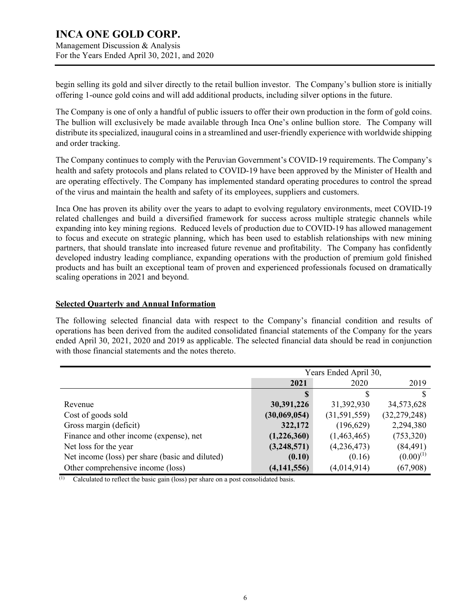## **INCA ONE GOLD CORP.** Management Discussion & Analysis For the Years Ended April 30, 2021, and 2020

begin selling its gold and silver directly to the retail bullion investor. The Company's bullion store is initially offering 1-ounce gold coins and will add additional products, including silver options in the future.

The Company is one of only a handful of public issuers to offer their own production in the form of gold coins. The bullion will exclusively be made available through Inca One's online bullion store. The Company will distribute its specialized, inaugural coins in a streamlined and user-friendly experience with worldwide shipping and order tracking.

The Company continues to comply with the Peruvian Government's COVID-19 requirements. The Company's health and safety protocols and plans related to COVID-19 have been approved by the Minister of Health and are operating effectively. The Company has implemented standard operating procedures to control the spread of the virus and maintain the health and safety of its employees, suppliers and customers.

Inca One has proven its ability over the years to adapt to evolving regulatory environments, meet COVID-19 related challenges and build a diversified framework for success across multiple strategic channels while expanding into key mining regions. Reduced levels of production due to COVID-19 has allowed management to focus and execute on strategic planning, which has been used to establish relationships with new mining partners, that should translate into increased future revenue and profitability. The Company has confidently developed industry leading compliance, expanding operations with the production of premium gold finished products and has built an exceptional team of proven and experienced professionals focused on dramatically scaling operations in 2021 and beyond.

#### **Selected Quarterly and Annual Information**

The following selected financial data with respect to the Company's financial condition and results of operations has been derived from the audited consolidated financial statements of the Company for the years ended April 30, 2021, 2020 and 2019 as applicable. The selected financial data should be read in conjunction with those financial statements and the notes thereto.

|                                                 | Years Ended April 30, |              |                |  |
|-------------------------------------------------|-----------------------|--------------|----------------|--|
|                                                 | 2021                  | 2020         | 2019           |  |
|                                                 | <b>S</b>              | \$           |                |  |
| Revenue                                         | 30,391,226            | 31,392,930   | 34,573,628     |  |
| Cost of goods sold                              | (30,069,054)          | (31,591,559) | (32, 279, 248) |  |
| Gross margin (deficit)                          | 322,172               | (196, 629)   | 2,294,380      |  |
| Finance and other income (expense), net         | (1,226,360)           | (1,463,465)  | (753,320)      |  |
| Net loss for the year                           | (3,248,571)           | (4,236,473)  | (84, 491)      |  |
| Net income (loss) per share (basic and diluted) | (0.10)                | (0.16)       | $(0.00)^{(1)}$ |  |
| Other comprehensive income (loss)               | (4, 141, 556)         | (4,014,914)  | (67,908)       |  |

 $\overline{^{(1)}}$  Calculated to reflect the basic gain (loss) per share on a post consolidated basis.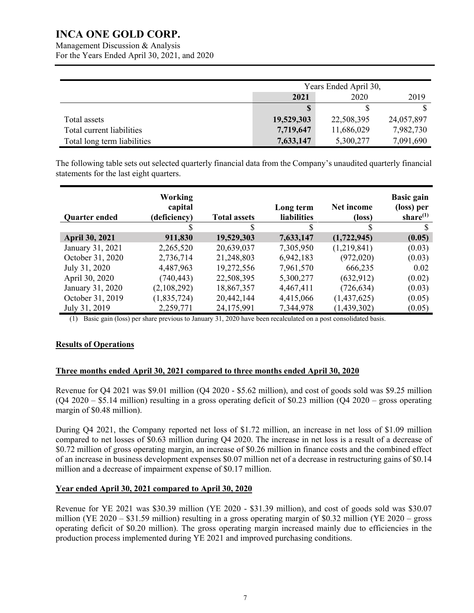Management Discussion & Analysis For the Years Ended April 30, 2021, and 2020

|                             | Years Ended April 30, |            |            |
|-----------------------------|-----------------------|------------|------------|
|                             | 2021                  | 2020       | 2019       |
|                             | \$                    |            |            |
| Total assets                | 19,529,303            | 22,508,395 | 24,057,897 |
| Total current liabilities   | 7,719,647             | 11,686,029 | 7,982,730  |
| Total long term liabilities | 7,633,147             | 5,300,277  | 7,091,690  |

The following table sets out selected quarterly financial data from the Company's unaudited quarterly financial statements for the last eight quarters.

| <b>Quarter ended</b>  | Working<br>capital<br>(deficiency) | <b>Total assets</b> | Long term<br><b>liabilities</b> | Net income<br>(loss) | <b>Basic gain</b><br>(loss) per<br>share $(1)$ |
|-----------------------|------------------------------------|---------------------|---------------------------------|----------------------|------------------------------------------------|
|                       |                                    | S                   | S                               |                      |                                                |
| <b>April 30, 2021</b> | 911,830                            | 19,529,303          | 7,633,147                       | (1,722,945)          | (0.05)                                         |
| January 31, 2021      | 2,265,520                          | 20,639,037          | 7,305,950                       | (1,219,841)          | (0.03)                                         |
| October 31, 2020      | 2,736,714                          | 21,248,803          | 6,942,183                       | (972, 020)           | (0.03)                                         |
| July 31, 2020         | 4,487,963                          | 19,272,556          | 7,961,570                       | 666,235              | 0.02                                           |
| April 30, 2020        | (740, 443)                         | 22,508,395          | 5,300,277                       | (632, 912)           | (0.02)                                         |
| January 31, 2020      | (2,108,292)                        | 18,867,357          | 4,467,411                       | (726, 634)           | (0.03)                                         |
| October 31, 2019      | (1,835,724)                        | 20,442,144          | 4,415,066                       | (1,437,625)          | (0.05)                                         |
| July 31, 2019         | 2,259,771                          | 24,175,991          | 7,344,978                       | (1,439,302)          | (0.05)                                         |

(1) Basic gain (loss) per share previous to January 31, 2020 have been recalculated on a post consolidated basis.

## **Results of Operations**

## **Three months ended April 30, 2021 compared to three months ended April 30, 2020**

Revenue for Q4 2021 was \$9.01 million (Q4 2020 - \$5.62 million), and cost of goods sold was \$9.25 million (Q4 2020 – \$5.14 million) resulting in a gross operating deficit of \$0.23 million (Q4 2020 – gross operating margin of \$0.48 million).

During Q4 2021, the Company reported net loss of \$1.72 million, an increase in net loss of \$1.09 million compared to net losses of \$0.63 million during Q4 2020. The increase in net loss is a result of a decrease of \$0.72 million of gross operating margin, an increase of \$0.26 million in finance costs and the combined effect of an increase in business development expenses \$0.07 million net of a decrease in restructuring gains of \$0.14 million and a decrease of impairment expense of \$0.17 million.

#### **Year ended April 30, 2021 compared to April 30, 2020**

Revenue for YE 2021 was \$30.39 million (YE 2020 - \$31.39 million), and cost of goods sold was \$30.07 million (YE 2020 – \$31.59 million) resulting in a gross operating margin of \$0.32 million (YE 2020 – gross operating deficit of \$0.20 million). The gross operating margin increased mainly due to efficiencies in the production process implemented during YE 2021 and improved purchasing conditions.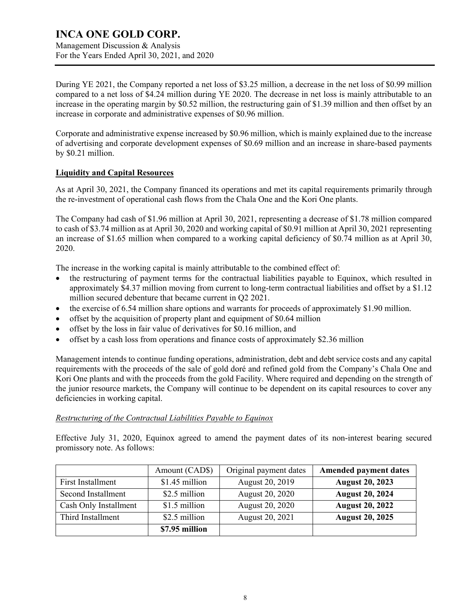Management Discussion & Analysis For the Years Ended April 30, 2021, and 2020

During YE 2021, the Company reported a net loss of \$3.25 million, a decrease in the net loss of \$0.99 million compared to a net loss of \$4.24 million during YE 2020. The decrease in net loss is mainly attributable to an increase in the operating margin by \$0.52 million, the restructuring gain of \$1.39 million and then offset by an increase in corporate and administrative expenses of \$0.96 million.

Corporate and administrative expense increased by \$0.96 million, which is mainly explained due to the increase of advertising and corporate development expenses of \$0.69 million and an increase in share-based payments by \$0.21 million.

#### **Liquidity and Capital Resources**

As at April 30, 2021, the Company financed its operations and met its capital requirements primarily through the re-investment of operational cash flows from the Chala One and the Kori One plants.

The Company had cash of \$1.96 million at April 30, 2021, representing a decrease of \$1.78 million compared to cash of \$3.74 million as at April 30, 2020 and working capital of \$0.91 million at April 30, 2021 representing an increase of \$1.65 million when compared to a working capital deficiency of \$0.74 million as at April 30, 2020.

The increase in the working capital is mainly attributable to the combined effect of:

- the restructuring of payment terms for the contractual liabilities payable to Equinox, which resulted in approximately \$4.37 million moving from current to long-term contractual liabilities and offset by a \$1.12 million secured debenture that became current in Q2 2021.
- the exercise of 6.54 million share options and warrants for proceeds of approximately \$1.90 million.
- offset by the acquisition of property plant and equipment of \$0.64 million
- offset by the loss in fair value of derivatives for \$0.16 million, and
- offset by a cash loss from operations and finance costs of approximately \$2.36 million

Management intends to continue funding operations, administration, debt and debt service costs and any capital requirements with the proceeds of the sale of gold doré and refined gold from the Company's Chala One and Kori One plants and with the proceeds from the gold Facility. Where required and depending on the strength of the junior resource markets, the Company will continue to be dependent on its capital resources to cover any deficiencies in working capital.

#### *Restructuring of the Contractual Liabilities Payable to Equinox*

Effective July 31, 2020, Equinox agreed to amend the payment dates of its non-interest bearing secured promissory note. As follows:

|                       | Amount (CAD\$) | Original payment dates | <b>Amended payment dates</b> |
|-----------------------|----------------|------------------------|------------------------------|
| First Installment     | \$1.45 million | August 20, 2019        | <b>August 20, 2023</b>       |
| Second Installment    | \$2.5 million  | August 20, 2020        | <b>August 20, 2024</b>       |
| Cash Only Installment | \$1.5 million  | August 20, 2020        | <b>August 20, 2022</b>       |
| Third Installment     | \$2.5 million  | August 20, 2021        | <b>August 20, 2025</b>       |
|                       | \$7.95 million |                        |                              |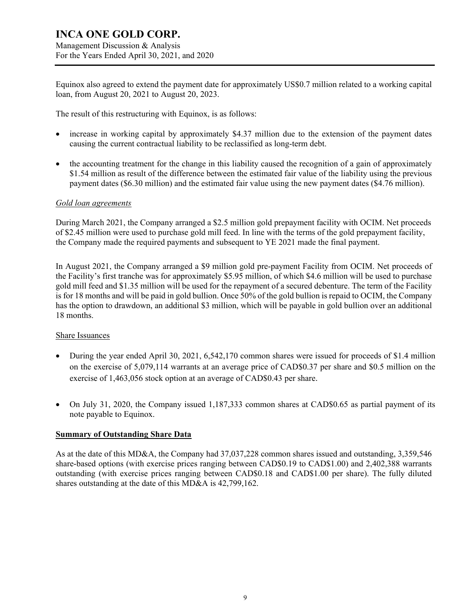Equinox also agreed to extend the payment date for approximately US\$0.7 million related to a working capital loan, from August 20, 2021 to August 20, 2023.

The result of this restructuring with Equinox, is as follows:

- increase in working capital by approximately \$4.37 million due to the extension of the payment dates causing the current contractual liability to be reclassified as long-term debt.
- the accounting treatment for the change in this liability caused the recognition of a gain of approximately \$1.54 million as result of the difference between the estimated fair value of the liability using the previous payment dates (\$6.30 million) and the estimated fair value using the new payment dates (\$4.76 million).

#### *Gold loan agreements*

During March 2021, the Company arranged a \$2.5 million gold prepayment facility with OCIM. Net proceeds of \$2.45 million were used to purchase gold mill feed. In line with the terms of the gold prepayment facility, the Company made the required payments and subsequent to YE 2021 made the final payment.

In August 2021, the Company arranged a \$9 million gold pre-payment Facility from OCIM. Net proceeds of the Facility's first tranche was for approximately \$5.95 million, of which \$4.6 million will be used to purchase gold mill feed and \$1.35 million will be used for the repayment of a secured debenture. The term of the Facility is for 18 months and will be paid in gold bullion. Once 50% of the gold bullion is repaid to OCIM, the Company has the option to drawdown, an additional \$3 million, which will be payable in gold bullion over an additional 18 months.

#### Share Issuances

- During the year ended April 30, 2021, 6,542,170 common shares were issued for proceeds of \$1.4 million on the exercise of 5,079,114 warrants at an average price of CAD\$0.37 per share and \$0.5 million on the exercise of 1,463,056 stock option at an average of CAD\$0.43 per share.
- On July 31, 2020, the Company issued 1,187,333 common shares at CAD\$0.65 as partial payment of its note payable to Equinox.

#### **Summary of Outstanding Share Data**

As at the date of this MD&A, the Company had 37,037,228 common shares issued and outstanding, 3,359,546 share-based options (with exercise prices ranging between CAD\$0.19 to CAD\$1.00) and 2,402,388 warrants outstanding (with exercise prices ranging between CAD\$0.18 and CAD\$1.00 per share). The fully diluted shares outstanding at the date of this MD&A is 42,799,162.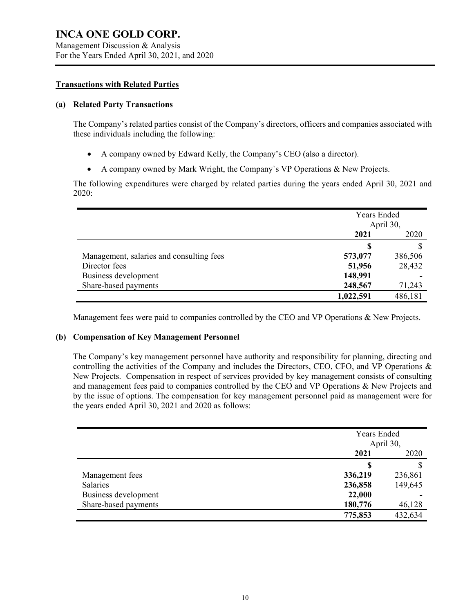Management Discussion & Analysis For the Years Ended April 30, 2021, and 2020

#### **Transactions with Related Parties**

#### **(a) Related Party Transactions**

The Company's related parties consist of the Company's directors, officers and companies associated with these individuals including the following:

- A company owned by Edward Kelly, the Company's CEO (also a director).
- A company owned by Mark Wright, the Company`s VP Operations & New Projects.

The following expenditures were charged by related parties during the years ended April 30, 2021 and 2020:

|                                          | <b>Years Ended</b><br>April 30, |         |
|------------------------------------------|---------------------------------|---------|
|                                          | 2021                            | 2020    |
|                                          | S                               |         |
| Management, salaries and consulting fees | 573,077                         | 386,506 |
| Director fees                            | 51,956                          | 28,432  |
| Business development                     | 148,991                         |         |
| Share-based payments                     | 248,567                         | 71,243  |
|                                          | 1,022,591                       | 486,181 |

Management fees were paid to companies controlled by the CEO and VP Operations & New Projects.

#### **(b) Compensation of Key Management Personnel**

The Company's key management personnel have authority and responsibility for planning, directing and controlling the activities of the Company and includes the Directors, CEO, CFO, and VP Operations  $\&$ New Projects. Compensation in respect of services provided by key management consists of consulting and management fees paid to companies controlled by the CEO and VP Operations & New Projects and by the issue of options. The compensation for key management personnel paid as management were for the years ended April 30, 2021 and 2020 as follows:

|                      | <b>Years Ended</b> |           |
|----------------------|--------------------|-----------|
|                      |                    | April 30, |
|                      | 2021               | 2020      |
|                      | S                  |           |
| Management fees      | 336,219            | 236,861   |
| Salaries             | 236,858            | 149,645   |
| Business development | 22,000             |           |
| Share-based payments | 180,776            | 46,128    |
|                      | 775,853            | 432,634   |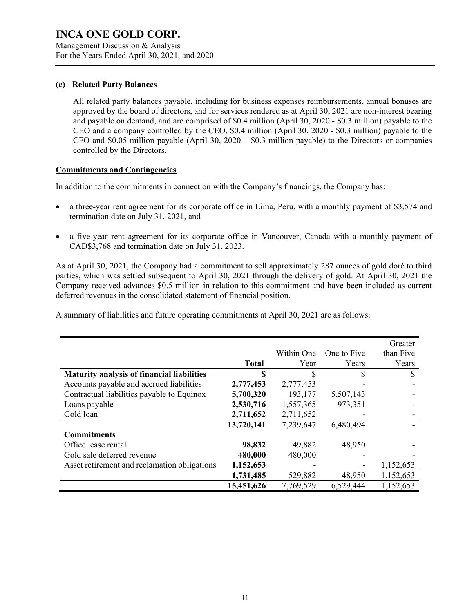Management Discussion & Analysis For the Years Ended April 30, 2021, and 2020

#### **(c) Related Party Balances**

All related party balances payable, including for business expenses reimbursements, annual bonuses are approved by the board of directors, and for services rendered as at April 30, 2021 are non-interest bearing and payable on demand, and are comprised of \$0.4 million (April 30, 2020 - \$0.3 million) payable to the CEO and a company controlled by the CEO, \$0.4 million (April 30, 2020 - \$0.3 million) payable to the CFO and \$0.05 million payable (April 30, 2020 – \$0.3 million payable) to the Directors or companies controlled by the Directors.

#### **Commitments and Contingencies**

In addition to the commitments in connection with the Company's financings, the Company has:

- a three-year rent agreement for its corporate office in Lima, Peru, with a monthly payment of \$3,574 and termination date on July 31, 2021, and
- a five-year rent agreement for its corporate office in Vancouver, Canada with a monthly payment of CAD\$3,768 and termination date on July 31, 2023.

As at April 30, 2021, the Company had a commitment to sell approximately 287 ounces of gold doré to third parties, which was settled subsequent to April 30, 2021 through the delivery of gold. At April 30, 2021 the Company received advances \$0.5 million in relation to this commitment and have been included as current deferred revenues in the consolidated statement of financial position.

A summary of liabilities and future operating commitments at April 30, 2021 are as follows:

|                                                   |              |            |             | Greater   |
|---------------------------------------------------|--------------|------------|-------------|-----------|
|                                                   |              | Within One | One to Five | than Five |
|                                                   | <b>Total</b> | Year       | Years       | Years     |
| <b>Maturity analysis of financial liabilities</b> | \$           | S          | D           |           |
| Accounts payable and accrued liabilities          | 2,777,453    | 2,777,453  |             |           |
| Contractual liabilities payable to Equinox        | 5,700,320    | 193,177    | 5,507,143   |           |
| Loans payable                                     | 2,530,716    | 1,557,365  | 973,351     |           |
| Gold loan                                         | 2,711,652    | 2,711,652  |             |           |
|                                                   | 13,720,141   | 7,239,647  | 6,480,494   |           |
| <b>Commitments</b>                                |              |            |             |           |
| Office lease rental                               | 98,832       | 49,882     | 48,950      |           |
| Gold sale deferred revenue                        | 480,000      | 480,000    |             |           |
| Asset retirement and reclamation obligations      | 1,152,653    |            |             | 1,152,653 |
|                                                   | 1,731,485    | 529,882    | 48,950      | 1,152,653 |
|                                                   | 15,451,626   | 7,769,529  | 6,529,444   | 1,152,653 |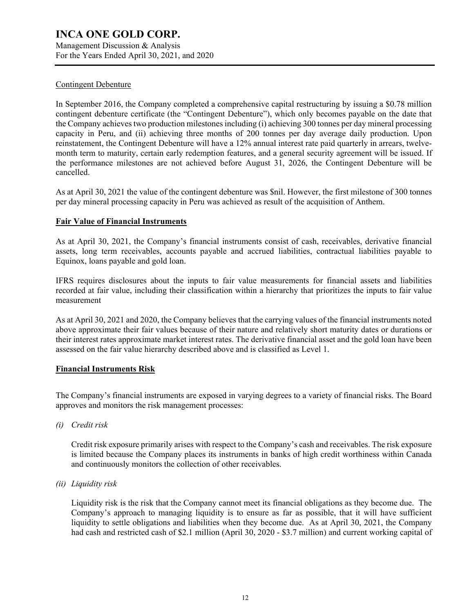#### Contingent Debenture

In September 2016, the Company completed a comprehensive capital restructuring by issuing a \$0.78 million contingent debenture certificate (the "Contingent Debenture"), which only becomes payable on the date that the Company achieves two production milestones including (i) achieving 300 tonnes per day mineral processing capacity in Peru, and (ii) achieving three months of 200 tonnes per day average daily production. Upon reinstatement, the Contingent Debenture will have a 12% annual interest rate paid quarterly in arrears, twelvemonth term to maturity, certain early redemption features, and a general security agreement will be issued. If the performance milestones are not achieved before August 31, 2026, the Contingent Debenture will be cancelled.

As at April 30, 2021 the value of the contingent debenture was \$nil. However, the first milestone of 300 tonnes per day mineral processing capacity in Peru was achieved as result of the acquisition of Anthem.

#### **Fair Value of Financial Instruments**

As at April 30, 2021, the Company's financial instruments consist of cash, receivables, derivative financial assets, long term receivables, accounts payable and accrued liabilities, contractual liabilities payable to Equinox, loans payable and gold loan.

IFRS requires disclosures about the inputs to fair value measurements for financial assets and liabilities recorded at fair value, including their classification within a hierarchy that prioritizes the inputs to fair value measurement

As at April 30, 2021 and 2020, the Company believes that the carrying values of the financial instruments noted above approximate their fair values because of their nature and relatively short maturity dates or durations or their interest rates approximate market interest rates. The derivative financial asset and the gold loan have been assessed on the fair value hierarchy described above and is classified as Level 1.

#### **Financial Instruments Risk**

The Company's financial instruments are exposed in varying degrees to a variety of financial risks. The Board approves and monitors the risk management processes:

*(i) Credit risk*

Credit risk exposure primarily arises with respect to the Company's cash and receivables. The risk exposure is limited because the Company places its instruments in banks of high credit worthiness within Canada and continuously monitors the collection of other receivables.

*(ii) Liquidity risk*

Liquidity risk is the risk that the Company cannot meet its financial obligations as they become due. The Company's approach to managing liquidity is to ensure as far as possible, that it will have sufficient liquidity to settle obligations and liabilities when they become due. As at April 30, 2021, the Company had cash and restricted cash of \$2.1 million (April 30, 2020 - \$3.7 million) and current working capital of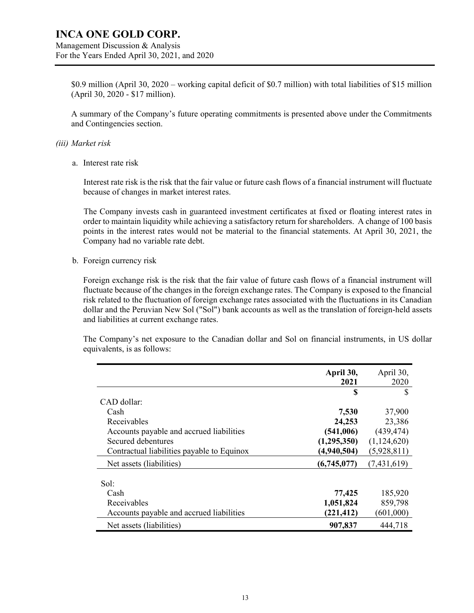Management Discussion & Analysis For the Years Ended April 30, 2021, and 2020

\$0.9 million (April 30, 2020 – working capital deficit of \$0.7 million) with total liabilities of \$15 million (April 30, 2020 - \$17 million).

A summary of the Company's future operating commitments is presented above under the Commitments and Contingencies section.

#### *(iii) Market risk*

a. Interest rate risk

Interest rate risk is the risk that the fair value or future cash flows of a financial instrument will fluctuate because of changes in market interest rates.

The Company invests cash in guaranteed investment certificates at fixed or floating interest rates in order to maintain liquidity while achieving a satisfactory return for shareholders. A change of 100 basis points in the interest rates would not be material to the financial statements. At April 30, 2021, the Company had no variable rate debt.

b. Foreign currency risk

Foreign exchange risk is the risk that the fair value of future cash flows of a financial instrument will fluctuate because of the changes in the foreign exchange rates. The Company is exposed to the financial risk related to the fluctuation of foreign exchange rates associated with the fluctuations in its Canadian dollar and the Peruvian New Sol ("Sol") bank accounts as well as the translation of foreign-held assets and liabilities at current exchange rates.

The Company's net exposure to the Canadian dollar and Sol on financial instruments, in US dollar equivalents, is as follows:

|                                            | April 30,<br>2021 | April 30,<br>2020 |
|--------------------------------------------|-------------------|-------------------|
|                                            | S                 | S                 |
| CAD dollar:                                |                   |                   |
| Cash                                       | 7,530             | 37,900            |
| Receivables                                | 24,253            | 23,386            |
| Accounts payable and accrued liabilities   | (541,006)         | (439, 474)        |
| Secured debentures                         | (1,295,350)       | (1,124,620)       |
| Contractual liabilities payable to Equinox | (4,940,504)       | (5,928,811)       |
| Net assets (liabilities)                   | (6,745,077)       | (7, 431, 619)     |
| Sol:                                       |                   |                   |
| Cash                                       | 77,425            | 185,920           |
| Receivables                                | 1,051,824         | 859,798           |
|                                            |                   |                   |
| Accounts payable and accrued liabilities   | (221, 412)        | (601,000)         |
| Net assets (liabilities)                   | 907,837           | 444,718           |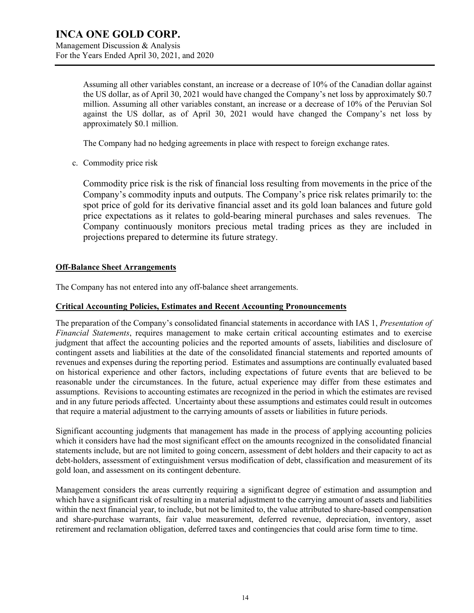Assuming all other variables constant, an increase or a decrease of 10% of the Canadian dollar against the US dollar, as of April 30, 2021 would have changed the Company's net loss by approximately \$0.7 million. Assuming all other variables constant, an increase or a decrease of 10% of the Peruvian Sol against the US dollar, as of April 30, 2021 would have changed the Company's net loss by approximately \$0.1 million.

The Company had no hedging agreements in place with respect to foreign exchange rates.

c. Commodity price risk

Commodity price risk is the risk of financial loss resulting from movements in the price of the Company's commodity inputs and outputs. The Company's price risk relates primarily to: the spot price of gold for its derivative financial asset and its gold loan balances and future gold price expectations as it relates to gold-bearing mineral purchases and sales revenues. The Company continuously monitors precious metal trading prices as they are included in projections prepared to determine its future strategy.

#### **Off-Balance Sheet Arrangements**

The Company has not entered into any off-balance sheet arrangements.

#### **Critical Accounting Policies, Estimates and Recent Accounting Pronouncements**

The preparation of the Company's consolidated financial statements in accordance with IAS 1, *Presentation of Financial Statements*, requires management to make certain critical accounting estimates and to exercise judgment that affect the accounting policies and the reported amounts of assets, liabilities and disclosure of contingent assets and liabilities at the date of the consolidated financial statements and reported amounts of revenues and expenses during the reporting period. Estimates and assumptions are continually evaluated based on historical experience and other factors, including expectations of future events that are believed to be reasonable under the circumstances. In the future, actual experience may differ from these estimates and assumptions. Revisions to accounting estimates are recognized in the period in which the estimates are revised and in any future periods affected. Uncertainty about these assumptions and estimates could result in outcomes that require a material adjustment to the carrying amounts of assets or liabilities in future periods.

Significant accounting judgments that management has made in the process of applying accounting policies which it considers have had the most significant effect on the amounts recognized in the consolidated financial statements include, but are not limited to going concern, assessment of debt holders and their capacity to act as debt-holders, assessment of extinguishment versus modification of debt, classification and measurement of its gold loan, and assessment on its contingent debenture.

Management considers the areas currently requiring a significant degree of estimation and assumption and which have a significant risk of resulting in a material adjustment to the carrying amount of assets and liabilities within the next financial year, to include, but not be limited to, the value attributed to share-based compensation and share-purchase warrants, fair value measurement, deferred revenue, depreciation, inventory, asset retirement and reclamation obligation, deferred taxes and contingencies that could arise form time to time.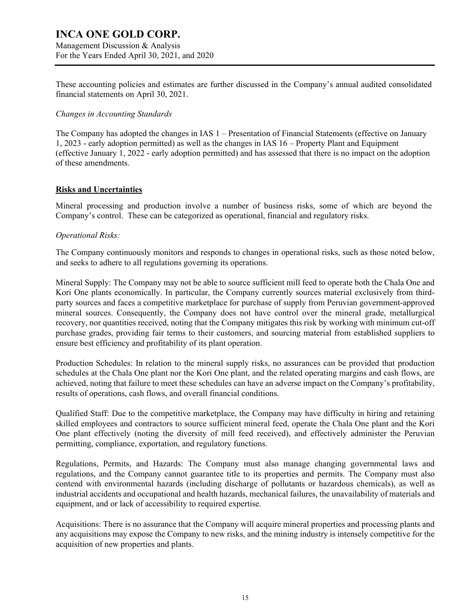Management Discussion & Analysis For the Years Ended April 30, 2021, and 2020

These accounting policies and estimates are further discussed in the Company's annual audited consolidated financial statements on April 30, 2021.

#### *Changes in Accounting Standards*

The Company has adopted the changes in IAS 1 – Presentation of Financial Statements (effective on January 1, 2023 - early adoption permitted) as well as the changes in IAS 16 – Property Plant and Equipment (effective January 1, 2022 - early adoption permitted) and has assessed that there is no impact on the adoption of these amendments.

#### **Risks and Uncertainties**

Mineral processing and production involve a number of business risks, some of which are beyond the Company's control. These can be categorized as operational, financial and regulatory risks.

#### *Operational Risks:*

The Company continuously monitors and responds to changes in operational risks, such as those noted below, and seeks to adhere to all regulations governing its operations.

Mineral Supply: The Company may not be able to source sufficient mill feed to operate both the Chala One and Kori One plants economically. In particular, the Company currently sources material exclusively from thirdparty sources and faces a competitive marketplace for purchase of supply from Peruvian government-approved mineral sources. Consequently, the Company does not have control over the mineral grade, metallurgical recovery, nor quantities received, noting that the Company mitigates this risk by working with minimum cut-off purchase grades, providing fair terms to their customers, and sourcing material from established suppliers to ensure best efficiency and profitability of its plant operation.

Production Schedules: In relation to the mineral supply risks, no assurances can be provided that production schedules at the Chala One plant nor the Kori One plant, and the related operating margins and cash flows, are achieved, noting that failure to meet these schedules can have an adverse impact on the Company's profitability, results of operations, cash flows, and overall financial conditions.

Qualified Staff: Due to the competitive marketplace, the Company may have difficulty in hiring and retaining skilled employees and contractors to source sufficient mineral feed, operate the Chala One plant and the Kori One plant effectively (noting the diversity of mill feed received), and effectively administer the Peruvian permitting, compliance, exportation, and regulatory functions.

Regulations, Permits, and Hazards: The Company must also manage changing governmental laws and regulations, and the Company cannot guarantee title to its properties and permits. The Company must also contend with environmental hazards (including discharge of pollutants or hazardous chemicals), as well as industrial accidents and occupational and health hazards, mechanical failures, the unavailability of materials and equipment, and or lack of accessibility to required expertise.

Acquisitions: There is no assurance that the Company will acquire mineral properties and processing plants and any acquisitions may expose the Company to new risks, and the mining industry is intensely competitive for the acquisition of new properties and plants.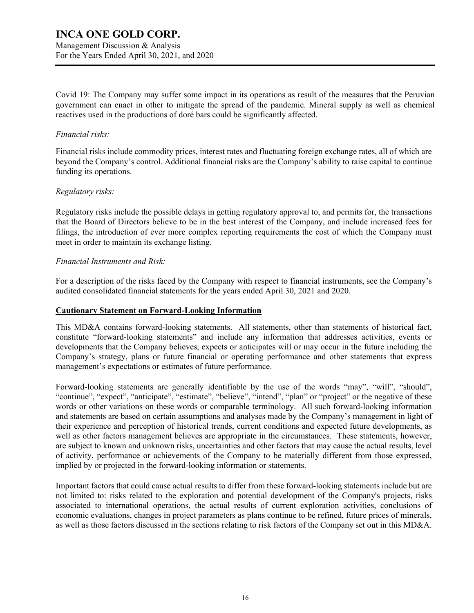Covid 19: The Company may suffer some impact in its operations as result of the measures that the Peruvian government can enact in other to mitigate the spread of the pandemic. Mineral supply as well as chemical reactives used in the productions of doré bars could be significantly affected.

#### *Financial risks:*

Financial risks include commodity prices, interest rates and fluctuating foreign exchange rates, all of which are beyond the Company's control. Additional financial risks are the Company's ability to raise capital to continue funding its operations.

#### *Regulatory risks:*

Regulatory risks include the possible delays in getting regulatory approval to, and permits for, the transactions that the Board of Directors believe to be in the best interest of the Company, and include increased fees for filings, the introduction of ever more complex reporting requirements the cost of which the Company must meet in order to maintain its exchange listing.

#### *Financial Instruments and Risk:*

For a description of the risks faced by the Company with respect to financial instruments, see the Company's audited consolidated financial statements for the years ended April 30, 2021 and 2020.

#### **Cautionary Statement on Forward-Looking Information**

This MD&A contains forward-looking statements. All statements, other than statements of historical fact, constitute "forward-looking statements" and include any information that addresses activities, events or developments that the Company believes, expects or anticipates will or may occur in the future including the Company's strategy, plans or future financial or operating performance and other statements that express management's expectations or estimates of future performance.

Forward-looking statements are generally identifiable by the use of the words "may", "will", "should", "continue", "expect", "anticipate", "estimate", "believe", "intend", "plan" or "project" or the negative of these words or other variations on these words or comparable terminology. All such forward-looking information and statements are based on certain assumptions and analyses made by the Company's management in light of their experience and perception of historical trends, current conditions and expected future developments, as well as other factors management believes are appropriate in the circumstances. These statements, however, are subject to known and unknown risks, uncertainties and other factors that may cause the actual results, level of activity, performance or achievements of the Company to be materially different from those expressed, implied by or projected in the forward-looking information or statements.

Important factors that could cause actual results to differ from these forward-looking statements include but are not limited to: risks related to the exploration and potential development of the Company's projects, risks associated to international operations, the actual results of current exploration activities, conclusions of economic evaluations, changes in project parameters as plans continue to be refined, future prices of minerals, as well as those factors discussed in the sections relating to risk factors of the Company set out in this MD&A.